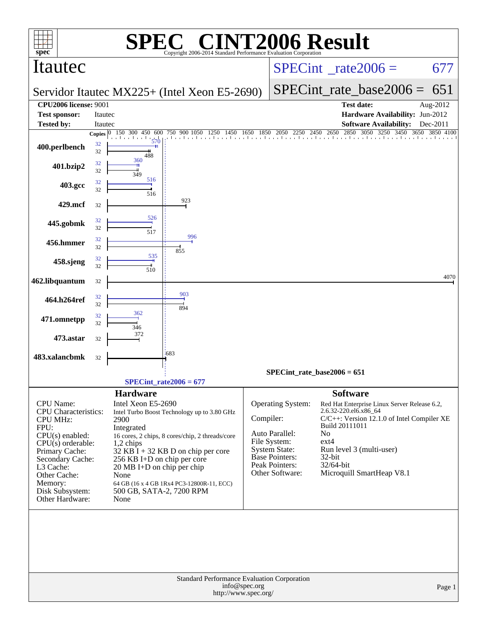| spec <sup>®</sup>                                                                                                                                                                                                                        |                          | SPE                                                                                                                                                                                                                                                                                                                                                                                | $\mathbf{P}(\mathbb{R})$                                                                                    |               | <b>NT2006 Result</b>                                                                                                                                          |                                                                                                                                                                                                                                                               |                                 |          |  |
|------------------------------------------------------------------------------------------------------------------------------------------------------------------------------------------------------------------------------------------|--------------------------|------------------------------------------------------------------------------------------------------------------------------------------------------------------------------------------------------------------------------------------------------------------------------------------------------------------------------------------------------------------------------------|-------------------------------------------------------------------------------------------------------------|---------------|---------------------------------------------------------------------------------------------------------------------------------------------------------------|---------------------------------------------------------------------------------------------------------------------------------------------------------------------------------------------------------------------------------------------------------------|---------------------------------|----------|--|
| Itautec                                                                                                                                                                                                                                  |                          |                                                                                                                                                                                                                                                                                                                                                                                    | Copyright 2006-2014 Standard Performance Evaluation Corporation                                             |               | $SPECint^{\circ}$ <sub>_rate2006</sub> =                                                                                                                      |                                                                                                                                                                                                                                                               |                                 | 677      |  |
|                                                                                                                                                                                                                                          |                          |                                                                                                                                                                                                                                                                                                                                                                                    | Servidor Itautec MX225+ (Intel Xeon E5-2690)                                                                |               |                                                                                                                                                               |                                                                                                                                                                                                                                                               | $SPECint_rate\_base2006 =$      | 651      |  |
| <b>CPU2006 license: 9001</b>                                                                                                                                                                                                             |                          |                                                                                                                                                                                                                                                                                                                                                                                    |                                                                                                             |               |                                                                                                                                                               |                                                                                                                                                                                                                                                               | <b>Test date:</b>               | Aug-2012 |  |
| <b>Test sponsor:</b>                                                                                                                                                                                                                     | Itautec                  |                                                                                                                                                                                                                                                                                                                                                                                    |                                                                                                             |               |                                                                                                                                                               |                                                                                                                                                                                                                                                               | Hardware Availability: Jun-2012 |          |  |
| <b>Tested by:</b>                                                                                                                                                                                                                        | Itautec                  | 150 300 450                                                                                                                                                                                                                                                                                                                                                                        |                                                                                                             |               |                                                                                                                                                               |                                                                                                                                                                                                                                                               | <b>Software Availability:</b>   | Dec-2011 |  |
| 400.perlbench                                                                                                                                                                                                                            | Copies $ 0 $<br>32<br>32 | 600<br>570<br>488                                                                                                                                                                                                                                                                                                                                                                  | 50 900 1050 1250 1450 1650 1850 2050 2250 2450 2650 2850 3050 3250 3450 3650 3850 4100<br>750 900 1050 1250 |               |                                                                                                                                                               |                                                                                                                                                                                                                                                               |                                 |          |  |
| 401.bzip2                                                                                                                                                                                                                                | 32<br>32                 | 360<br>349                                                                                                                                                                                                                                                                                                                                                                         |                                                                                                             |               |                                                                                                                                                               |                                                                                                                                                                                                                                                               |                                 |          |  |
| 403.gcc                                                                                                                                                                                                                                  | 32<br>32                 | 516<br>516                                                                                                                                                                                                                                                                                                                                                                         |                                                                                                             |               |                                                                                                                                                               |                                                                                                                                                                                                                                                               |                                 |          |  |
| 429.mcf                                                                                                                                                                                                                                  | 32                       |                                                                                                                                                                                                                                                                                                                                                                                    | 923                                                                                                         |               |                                                                                                                                                               |                                                                                                                                                                                                                                                               |                                 |          |  |
| 445.gobmk                                                                                                                                                                                                                                | 32<br>32                 | 526<br>517                                                                                                                                                                                                                                                                                                                                                                         |                                                                                                             |               |                                                                                                                                                               |                                                                                                                                                                                                                                                               |                                 |          |  |
| 456.hmmer                                                                                                                                                                                                                                | 32<br>32                 |                                                                                                                                                                                                                                                                                                                                                                                    | 996                                                                                                         |               |                                                                                                                                                               |                                                                                                                                                                                                                                                               |                                 |          |  |
| 458.sjeng                                                                                                                                                                                                                                | 32<br>32                 | 535<br>510                                                                                                                                                                                                                                                                                                                                                                         | 855                                                                                                         |               |                                                                                                                                                               |                                                                                                                                                                                                                                                               |                                 |          |  |
| 462.libquantum                                                                                                                                                                                                                           | 32                       |                                                                                                                                                                                                                                                                                                                                                                                    |                                                                                                             |               |                                                                                                                                                               |                                                                                                                                                                                                                                                               |                                 | 4070     |  |
| 464.h264ref                                                                                                                                                                                                                              | 32<br>32                 |                                                                                                                                                                                                                                                                                                                                                                                    | 903<br>894                                                                                                  |               |                                                                                                                                                               |                                                                                                                                                                                                                                                               |                                 |          |  |
| 471.omnetpp                                                                                                                                                                                                                              | 32<br>32                 | 362<br>346                                                                                                                                                                                                                                                                                                                                                                         |                                                                                                             |               |                                                                                                                                                               |                                                                                                                                                                                                                                                               |                                 |          |  |
| 473.astar                                                                                                                                                                                                                                | 32                       | 372                                                                                                                                                                                                                                                                                                                                                                                |                                                                                                             |               |                                                                                                                                                               |                                                                                                                                                                                                                                                               |                                 |          |  |
| 483.xalancbmk                                                                                                                                                                                                                            | 32                       |                                                                                                                                                                                                                                                                                                                                                                                    | 683                                                                                                         |               |                                                                                                                                                               |                                                                                                                                                                                                                                                               |                                 |          |  |
|                                                                                                                                                                                                                                          |                          |                                                                                                                                                                                                                                                                                                                                                                                    |                                                                                                             |               | $SPECint_rate_base2006 = 651$                                                                                                                                 |                                                                                                                                                                                                                                                               |                                 |          |  |
|                                                                                                                                                                                                                                          |                          |                                                                                                                                                                                                                                                                                                                                                                                    | $SPECint_rate2006 = 677$                                                                                    |               |                                                                                                                                                               |                                                                                                                                                                                                                                                               |                                 |          |  |
| <b>CPU</b> Name:<br><b>CPU</b> Characteristics:<br><b>CPU MHz:</b><br>FPU:<br>$CPU(s)$ enabled:<br>CPU(s) orderable:<br>Primary Cache:<br>Secondary Cache:<br>L3 Cache:<br>Other Cache:<br>Memory:<br>Disk Subsystem:<br>Other Hardware: |                          | <b>Hardware</b><br>Intel Xeon E5-2690<br>Intel Turbo Boost Technology up to 3.80 GHz<br>2900<br>Integrated<br>16 cores, 2 chips, 8 cores/chip, 2 threads/core<br>1,2 chips<br>$32$ KB I + 32 KB D on chip per core<br>256 KB I+D on chip per core<br>$20 \text{ MB I+D}$ on chip per chip<br>None<br>64 GB (16 x 4 GB 1Rx4 PC3-12800R-11, ECC)<br>500 GB, SATA-2, 7200 RPM<br>None |                                                                                                             |               | <b>Operating System:</b><br>Compiler:<br>Auto Parallel:<br>File System:<br><b>System State:</b><br><b>Base Pointers:</b><br>Peak Pointers:<br>Other Software: | <b>Software</b><br>Red Hat Enterprise Linux Server Release 6.2,<br>2.6.32-220.el6.x86_64<br>C/C++: Version 12.1.0 of Intel Compiler XE<br>Build 20111011<br>No<br>$ext{4}$<br>Run level 3 (multi-user)<br>$32$ -bit<br>32/64-bit<br>Microquill SmartHeap V8.1 |                                 |          |  |
|                                                                                                                                                                                                                                          |                          |                                                                                                                                                                                                                                                                                                                                                                                    | Standard Performance Evaluation Corporation                                                                 | info@spec.org |                                                                                                                                                               |                                                                                                                                                                                                                                                               |                                 | Page 1   |  |
|                                                                                                                                                                                                                                          |                          |                                                                                                                                                                                                                                                                                                                                                                                    | http://www.spec.org/                                                                                        |               |                                                                                                                                                               |                                                                                                                                                                                                                                                               |                                 |          |  |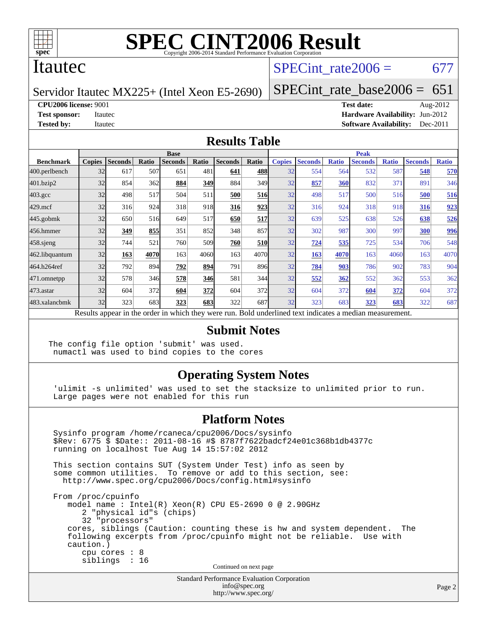

### Itautec

### SPECint rate $2006 = 677$

Servidor Itautec MX225+ (Intel Xeon E5-2690)

[SPECint\\_rate\\_base2006 =](http://www.spec.org/auto/cpu2006/Docs/result-fields.html#SPECintratebase2006) 651

**[CPU2006 license:](http://www.spec.org/auto/cpu2006/Docs/result-fields.html#CPU2006license)** 9001 **[Test date:](http://www.spec.org/auto/cpu2006/Docs/result-fields.html#Testdate)** Aug-2012

**[Test sponsor:](http://www.spec.org/auto/cpu2006/Docs/result-fields.html#Testsponsor)** Itautec **[Hardware Availability:](http://www.spec.org/auto/cpu2006/Docs/result-fields.html#HardwareAvailability)** Jun-2012 **[Tested by:](http://www.spec.org/auto/cpu2006/Docs/result-fields.html#Testedby)** Itautec **Italien Contract Contract Contract Contract Contract Contract Contract Contract Contract Contract Contract Contract Contract Contract Contract Contract Contract Contract Contract Contract Contract Con** 

#### **[Results Table](http://www.spec.org/auto/cpu2006/Docs/result-fields.html#ResultsTable)**

|                                                                                                          | <b>Base</b>   |                |       |                |       |                |            | <b>Peak</b>   |                |              |                |              |                |              |
|----------------------------------------------------------------------------------------------------------|---------------|----------------|-------|----------------|-------|----------------|------------|---------------|----------------|--------------|----------------|--------------|----------------|--------------|
| <b>Benchmark</b>                                                                                         | <b>Copies</b> | <b>Seconds</b> | Ratio | <b>Seconds</b> | Ratio | <b>Seconds</b> | Ratio      | <b>Copies</b> | <b>Seconds</b> | <b>Ratio</b> | <b>Seconds</b> | <b>Ratio</b> | <b>Seconds</b> | <b>Ratio</b> |
| 400.perlbench                                                                                            | 32            | 617            | 507   | 651            | 481   | 641            | 488        | 32            | 554            | 564          | 532            | 587          | 548            | 570          |
| 401.bzip2                                                                                                | 32            | 854            | 362   | 884            | 349   | 884            | 349I       | 32            | 857            | 360          | 832            | 371          | 891            | 346          |
| $403.\mathrm{gcc}$                                                                                       | 32            | 498            | 517   | 504            | 511   | 500            | 516        | 32            | 498            | 517          | 500            | 516          | 500            | 516          |
| $429$ .mcf                                                                                               | 32            | 316            | 924   | 318            | 918   | 316            | 923        | 32            | 316            | 924          | 318            | 918          | 316            | 923          |
| $445$ .gobmk                                                                                             | 32            | 650            | 516   | 649            | 517   | 650            | 517        | 32            | 639            | 525          | 638            | 526          | 638            | 526          |
| 456.hmmer                                                                                                | 32            | 349            | 855   | 351            | 852   | 348            | 857        | 32            | 302            | 987          | 300            | 997          | 300            | <u>996</u>   |
| $458$ .sjeng                                                                                             | 32            | 744            | 521   | 760            | 509   | 760            | <b>510</b> | 32            | 724            | 535          | 725            | 534          | 706            | 548          |
| 462.libquantum                                                                                           | 32            | 163            | 4070  | 163            | 4060  | 163            | 4070       | 32            | 163            | 4070         | 163            | 4060         | 163            | 4070         |
| 464.h264ref                                                                                              | 32            | 792            | 894   | 792            | 894   | 791            | 896        | 32            | 784            | 903          | 786            | 902          | 783            | 904          |
| 471.omnetpp                                                                                              | 32            | 578            | 346   | 578            | 346   | 581            | 344        | 32            | 552            | 362          | 552            | 362          | 553            | 362          |
| $473$ . astar                                                                                            | 32            | 604            | 372   | 604            | 372   | 604            | 372l       | 32            | 604            | 372          | 604            | 372          | 604            | 372          |
| 483.xalancbmk                                                                                            | 32            | 323            | 683   | 323            | 683   | 322            | 687        | 32            | 323            | 683          | 323            | 683          | 322            | 687          |
| Results appear in the order in which they were run. Bold underlined text indicates a median measurement. |               |                |       |                |       |                |            |               |                |              |                |              |                |              |

#### **[Submit Notes](http://www.spec.org/auto/cpu2006/Docs/result-fields.html#SubmitNotes)**

The config file option 'submit' was used. numactl was used to bind copies to the cores

### **[Operating System Notes](http://www.spec.org/auto/cpu2006/Docs/result-fields.html#OperatingSystemNotes)**

 'ulimit -s unlimited' was used to set the stacksize to unlimited prior to run. Large pages were not enabled for this run

#### **[Platform Notes](http://www.spec.org/auto/cpu2006/Docs/result-fields.html#PlatformNotes)**

 Sysinfo program /home/rcaneca/cpu2006/Docs/sysinfo \$Rev: 6775 \$ \$Date:: 2011-08-16 #\$ 8787f7622badcf24e01c368b1db4377c running on localhost Tue Aug 14 15:57:02 2012 This section contains SUT (System Under Test) info as seen by some common utilities. To remove or add to this section, see: <http://www.spec.org/cpu2006/Docs/config.html#sysinfo> From /proc/cpuinfo model name : Intel(R) Xeon(R) CPU E5-2690 0 @ 2.90GHz 2 "physical id"s (chips) 32 "processors" cores, siblings (Caution: counting these is hw and system dependent. The following excerpts from /proc/cpuinfo might not be reliable. Use with caution.) cpu cores : 8 siblings : 16 Continued on next page

Standard Performance Evaluation Corporation [info@spec.org](mailto:info@spec.org) <http://www.spec.org/>

Page 2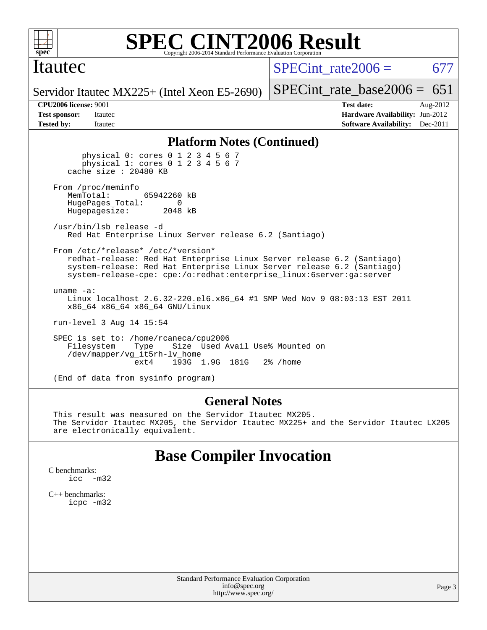

### Itautec

SPECint rate $2006 = 677$ 

[SPECint\\_rate\\_base2006 =](http://www.spec.org/auto/cpu2006/Docs/result-fields.html#SPECintratebase2006)  $651$ 

Servidor Itautec MX225+ (Intel Xeon E5-2690)

**[CPU2006 license:](http://www.spec.org/auto/cpu2006/Docs/result-fields.html#CPU2006license)** 9001 **[Test date:](http://www.spec.org/auto/cpu2006/Docs/result-fields.html#Testdate)** Aug-2012 **[Test sponsor:](http://www.spec.org/auto/cpu2006/Docs/result-fields.html#Testsponsor)** Itautec **[Hardware Availability:](http://www.spec.org/auto/cpu2006/Docs/result-fields.html#HardwareAvailability)** Jun-2012 **[Tested by:](http://www.spec.org/auto/cpu2006/Docs/result-fields.html#Testedby)** Itautec **Italien Contract Contract Contract Contract Contract Contract Contract Contract Contract Contract Contract Contract Contract Contract Contract Contract Contract Contract Contract Contract Contract Con** 

#### **[Platform Notes \(Continued\)](http://www.spec.org/auto/cpu2006/Docs/result-fields.html#PlatformNotes)**

 physical 0: cores 0 1 2 3 4 5 6 7 physical 1: cores 0 1 2 3 4 5 6 7 cache size : 20480 KB From /proc/meminfo<br>MemTotal: 65942260 kB HugePages\_Total: 0<br>Hugepagesize: 2048 kB Hugepagesize: /usr/bin/lsb\_release -d Red Hat Enterprise Linux Server release 6.2 (Santiago) From /etc/\*release\* /etc/\*version\* redhat-release: Red Hat Enterprise Linux Server release 6.2 (Santiago) system-release: Red Hat Enterprise Linux Server release 6.2 (Santiago) system-release-cpe: cpe:/o:redhat:enterprise\_linux:6server:ga:server uname -a: Linux localhost 2.6.32-220.el6.x86\_64 #1 SMP Wed Nov 9 08:03:13 EST 2011 x86\_64 x86\_64 x86\_64 GNU/Linux run-level 3 Aug 14 15:54 SPEC is set to: /home/rcaneca/cpu2006 Filesystem Type Size Used Avail Use% Mounted on /dev/mapper/vg\_it5rh-lv\_home ext4 193G 1.9G 181G 2% /home

(End of data from sysinfo program)

#### **[General Notes](http://www.spec.org/auto/cpu2006/Docs/result-fields.html#GeneralNotes)**

 This result was measured on the Servidor Itautec MX205. The Servidor Itautec MX205, the Servidor Itautec MX225+ and the Servidor Itautec LX205 are electronically equivalent.

### **[Base Compiler Invocation](http://www.spec.org/auto/cpu2006/Docs/result-fields.html#BaseCompilerInvocation)**

[C benchmarks](http://www.spec.org/auto/cpu2006/Docs/result-fields.html#Cbenchmarks): [icc -m32](http://www.spec.org/cpu2006/results/res2012q3/cpu2006-20120817-24249.flags.html#user_CCbase_intel_icc_5ff4a39e364c98233615fdd38438c6f2)

[C++ benchmarks:](http://www.spec.org/auto/cpu2006/Docs/result-fields.html#CXXbenchmarks) [icpc -m32](http://www.spec.org/cpu2006/results/res2012q3/cpu2006-20120817-24249.flags.html#user_CXXbase_intel_icpc_4e5a5ef1a53fd332b3c49e69c3330699)

> Standard Performance Evaluation Corporation [info@spec.org](mailto:info@spec.org) <http://www.spec.org/>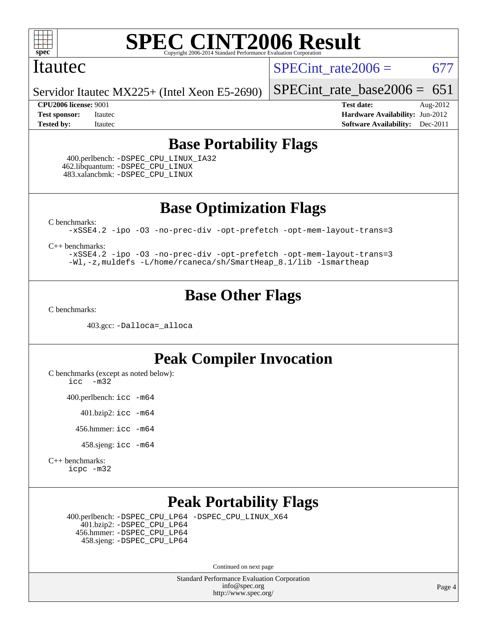

### Itautec

SPECint rate $2006 = 677$ 

Servidor Itautec MX225+ (Intel Xeon E5-2690)

#### **[CPU2006 license:](http://www.spec.org/auto/cpu2006/Docs/result-fields.html#CPU2006license)** 9001 **[Test date:](http://www.spec.org/auto/cpu2006/Docs/result-fields.html#Testdate)** Aug-2012

[SPECint\\_rate\\_base2006 =](http://www.spec.org/auto/cpu2006/Docs/result-fields.html#SPECintratebase2006)  $651$ 

**[Test sponsor:](http://www.spec.org/auto/cpu2006/Docs/result-fields.html#Testsponsor)** Itautec **[Hardware Availability:](http://www.spec.org/auto/cpu2006/Docs/result-fields.html#HardwareAvailability)** Jun-2012 **[Tested by:](http://www.spec.org/auto/cpu2006/Docs/result-fields.html#Testedby)** Itautec **Italien Contract Contract Contract Contract Contract Contract Contract Contract Contract Contract Contract Contract Contract Contract Contract Contract Contract Contract Contract Contract Contract Con** 

### **[Base Portability Flags](http://www.spec.org/auto/cpu2006/Docs/result-fields.html#BasePortabilityFlags)**

 400.perlbench: [-DSPEC\\_CPU\\_LINUX\\_IA32](http://www.spec.org/cpu2006/results/res2012q3/cpu2006-20120817-24249.flags.html#b400.perlbench_baseCPORTABILITY_DSPEC_CPU_LINUX_IA32) 462.libquantum: [-DSPEC\\_CPU\\_LINUX](http://www.spec.org/cpu2006/results/res2012q3/cpu2006-20120817-24249.flags.html#b462.libquantum_baseCPORTABILITY_DSPEC_CPU_LINUX) 483.xalancbmk: [-DSPEC\\_CPU\\_LINUX](http://www.spec.org/cpu2006/results/res2012q3/cpu2006-20120817-24249.flags.html#b483.xalancbmk_baseCXXPORTABILITY_DSPEC_CPU_LINUX)

**[Base Optimization Flags](http://www.spec.org/auto/cpu2006/Docs/result-fields.html#BaseOptimizationFlags)**

[C benchmarks](http://www.spec.org/auto/cpu2006/Docs/result-fields.html#Cbenchmarks):

[-xSSE4.2](http://www.spec.org/cpu2006/results/res2012q3/cpu2006-20120817-24249.flags.html#user_CCbase_f-xSSE42_f91528193cf0b216347adb8b939d4107) [-ipo](http://www.spec.org/cpu2006/results/res2012q3/cpu2006-20120817-24249.flags.html#user_CCbase_f-ipo) [-O3](http://www.spec.org/cpu2006/results/res2012q3/cpu2006-20120817-24249.flags.html#user_CCbase_f-O3) [-no-prec-div](http://www.spec.org/cpu2006/results/res2012q3/cpu2006-20120817-24249.flags.html#user_CCbase_f-no-prec-div) [-opt-prefetch](http://www.spec.org/cpu2006/results/res2012q3/cpu2006-20120817-24249.flags.html#user_CCbase_f-opt-prefetch) [-opt-mem-layout-trans=3](http://www.spec.org/cpu2006/results/res2012q3/cpu2006-20120817-24249.flags.html#user_CCbase_f-opt-mem-layout-trans_a7b82ad4bd7abf52556d4961a2ae94d5)

[C++ benchmarks:](http://www.spec.org/auto/cpu2006/Docs/result-fields.html#CXXbenchmarks)

[-xSSE4.2](http://www.spec.org/cpu2006/results/res2012q3/cpu2006-20120817-24249.flags.html#user_CXXbase_f-xSSE42_f91528193cf0b216347adb8b939d4107) [-ipo](http://www.spec.org/cpu2006/results/res2012q3/cpu2006-20120817-24249.flags.html#user_CXXbase_f-ipo) [-O3](http://www.spec.org/cpu2006/results/res2012q3/cpu2006-20120817-24249.flags.html#user_CXXbase_f-O3) [-no-prec-div](http://www.spec.org/cpu2006/results/res2012q3/cpu2006-20120817-24249.flags.html#user_CXXbase_f-no-prec-div) [-opt-prefetch](http://www.spec.org/cpu2006/results/res2012q3/cpu2006-20120817-24249.flags.html#user_CXXbase_f-opt-prefetch) [-opt-mem-layout-trans=3](http://www.spec.org/cpu2006/results/res2012q3/cpu2006-20120817-24249.flags.html#user_CXXbase_f-opt-mem-layout-trans_a7b82ad4bd7abf52556d4961a2ae94d5) [-Wl,-z,muldefs](http://www.spec.org/cpu2006/results/res2012q3/cpu2006-20120817-24249.flags.html#user_CXXbase_link_force_multiple1_74079c344b956b9658436fd1b6dd3a8a) [-L/home/rcaneca/sh/SmartHeap\\_8.1/lib -lsmartheap](http://www.spec.org/cpu2006/results/res2012q3/cpu2006-20120817-24249.flags.html#user_CXXbase_SmartHeap_0f3a9c58980a95eacf4c6b7a458c149d)

### **[Base Other Flags](http://www.spec.org/auto/cpu2006/Docs/result-fields.html#BaseOtherFlags)**

[C benchmarks](http://www.spec.org/auto/cpu2006/Docs/result-fields.html#Cbenchmarks):

403.gcc: [-Dalloca=\\_alloca](http://www.spec.org/cpu2006/results/res2012q3/cpu2006-20120817-24249.flags.html#b403.gcc_baseEXTRA_CFLAGS_Dalloca_be3056838c12de2578596ca5467af7f3)

### **[Peak Compiler Invocation](http://www.spec.org/auto/cpu2006/Docs/result-fields.html#PeakCompilerInvocation)**

[C benchmarks \(except as noted below\)](http://www.spec.org/auto/cpu2006/Docs/result-fields.html#Cbenchmarksexceptasnotedbelow):

[icc -m32](http://www.spec.org/cpu2006/results/res2012q3/cpu2006-20120817-24249.flags.html#user_CCpeak_intel_icc_5ff4a39e364c98233615fdd38438c6f2)

400.perlbench: [icc -m64](http://www.spec.org/cpu2006/results/res2012q3/cpu2006-20120817-24249.flags.html#user_peakCCLD400_perlbench_intel_icc_64bit_bda6cc9af1fdbb0edc3795bac97ada53)

401.bzip2: [icc -m64](http://www.spec.org/cpu2006/results/res2012q3/cpu2006-20120817-24249.flags.html#user_peakCCLD401_bzip2_intel_icc_64bit_bda6cc9af1fdbb0edc3795bac97ada53)

456.hmmer: [icc -m64](http://www.spec.org/cpu2006/results/res2012q3/cpu2006-20120817-24249.flags.html#user_peakCCLD456_hmmer_intel_icc_64bit_bda6cc9af1fdbb0edc3795bac97ada53)

458.sjeng: [icc -m64](http://www.spec.org/cpu2006/results/res2012q3/cpu2006-20120817-24249.flags.html#user_peakCCLD458_sjeng_intel_icc_64bit_bda6cc9af1fdbb0edc3795bac97ada53)

[C++ benchmarks:](http://www.spec.org/auto/cpu2006/Docs/result-fields.html#CXXbenchmarks) [icpc -m32](http://www.spec.org/cpu2006/results/res2012q3/cpu2006-20120817-24249.flags.html#user_CXXpeak_intel_icpc_4e5a5ef1a53fd332b3c49e69c3330699)

### **[Peak Portability Flags](http://www.spec.org/auto/cpu2006/Docs/result-fields.html#PeakPortabilityFlags)**

 400.perlbench: [-DSPEC\\_CPU\\_LP64](http://www.spec.org/cpu2006/results/res2012q3/cpu2006-20120817-24249.flags.html#b400.perlbench_peakCPORTABILITY_DSPEC_CPU_LP64) [-DSPEC\\_CPU\\_LINUX\\_X64](http://www.spec.org/cpu2006/results/res2012q3/cpu2006-20120817-24249.flags.html#b400.perlbench_peakCPORTABILITY_DSPEC_CPU_LINUX_X64) 401.bzip2: [-DSPEC\\_CPU\\_LP64](http://www.spec.org/cpu2006/results/res2012q3/cpu2006-20120817-24249.flags.html#suite_peakCPORTABILITY401_bzip2_DSPEC_CPU_LP64) 456.hmmer: [-DSPEC\\_CPU\\_LP64](http://www.spec.org/cpu2006/results/res2012q3/cpu2006-20120817-24249.flags.html#suite_peakCPORTABILITY456_hmmer_DSPEC_CPU_LP64) 458.sjeng: [-DSPEC\\_CPU\\_LP64](http://www.spec.org/cpu2006/results/res2012q3/cpu2006-20120817-24249.flags.html#suite_peakCPORTABILITY458_sjeng_DSPEC_CPU_LP64)

Continued on next page

Standard Performance Evaluation Corporation [info@spec.org](mailto:info@spec.org) <http://www.spec.org/>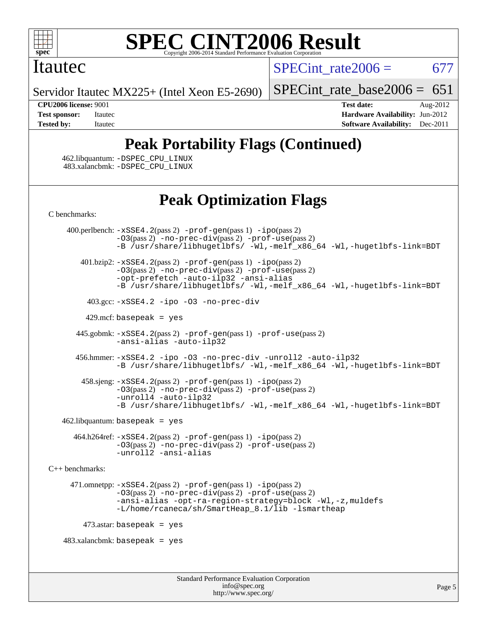

#### **[SPEC CINT2006 Result](http://www.spec.org/auto/cpu2006/Docs/result-fields.html#SPECCINT2006Result)** Copyright 2006-2014 Standard Performance Evaluation C

### Itautec

SPECint rate $2006 = 677$ 

Servidor Itautec MX225+ (Intel Xeon E5-2690)

[SPECint\\_rate\\_base2006 =](http://www.spec.org/auto/cpu2006/Docs/result-fields.html#SPECintratebase2006)  $651$ 

**[CPU2006 license:](http://www.spec.org/auto/cpu2006/Docs/result-fields.html#CPU2006license)** 9001 **[Test date:](http://www.spec.org/auto/cpu2006/Docs/result-fields.html#Testdate)** Aug-2012 **[Test sponsor:](http://www.spec.org/auto/cpu2006/Docs/result-fields.html#Testsponsor)** Itautec **[Hardware Availability:](http://www.spec.org/auto/cpu2006/Docs/result-fields.html#HardwareAvailability)** Jun-2012 **[Tested by:](http://www.spec.org/auto/cpu2006/Docs/result-fields.html#Testedby)** Itautec **[Software Availability:](http://www.spec.org/auto/cpu2006/Docs/result-fields.html#SoftwareAvailability)** Dec-2011

## **[Peak Portability Flags \(Continued\)](http://www.spec.org/auto/cpu2006/Docs/result-fields.html#PeakPortabilityFlags)**

 462.libquantum: [-DSPEC\\_CPU\\_LINUX](http://www.spec.org/cpu2006/results/res2012q3/cpu2006-20120817-24249.flags.html#b462.libquantum_peakCPORTABILITY_DSPEC_CPU_LINUX) 483.xalancbmk: [-DSPEC\\_CPU\\_LINUX](http://www.spec.org/cpu2006/results/res2012q3/cpu2006-20120817-24249.flags.html#b483.xalancbmk_peakCXXPORTABILITY_DSPEC_CPU_LINUX)

### **[Peak Optimization Flags](http://www.spec.org/auto/cpu2006/Docs/result-fields.html#PeakOptimizationFlags)**

[C benchmarks](http://www.spec.org/auto/cpu2006/Docs/result-fields.html#Cbenchmarks):

Standard Performance Evaluation Corporation 400.perlbench: [-xSSE4.2](http://www.spec.org/cpu2006/results/res2012q3/cpu2006-20120817-24249.flags.html#user_peakPASS2_CFLAGSPASS2_LDCFLAGS400_perlbench_f-xSSE42_f91528193cf0b216347adb8b939d4107)(pass 2) [-prof-gen](http://www.spec.org/cpu2006/results/res2012q3/cpu2006-20120817-24249.flags.html#user_peakPASS1_CFLAGSPASS1_LDCFLAGS400_perlbench_prof_gen_e43856698f6ca7b7e442dfd80e94a8fc)(pass 1) [-ipo](http://www.spec.org/cpu2006/results/res2012q3/cpu2006-20120817-24249.flags.html#user_peakPASS2_CFLAGSPASS2_LDCFLAGS400_perlbench_f-ipo)(pass 2) [-O3](http://www.spec.org/cpu2006/results/res2012q3/cpu2006-20120817-24249.flags.html#user_peakPASS2_CFLAGSPASS2_LDCFLAGS400_perlbench_f-O3)(pass 2) [-no-prec-div](http://www.spec.org/cpu2006/results/res2012q3/cpu2006-20120817-24249.flags.html#user_peakPASS2_CFLAGSPASS2_LDCFLAGS400_perlbench_f-no-prec-div)(pass 2) [-prof-use](http://www.spec.org/cpu2006/results/res2012q3/cpu2006-20120817-24249.flags.html#user_peakPASS2_CFLAGSPASS2_LDCFLAGS400_perlbench_prof_use_bccf7792157ff70d64e32fe3e1250b55)(pass 2) [-B /usr/share/libhugetlbfs/ -Wl,-melf\\_x86\\_64 -Wl,-hugetlbfs-link=BDT](http://www.spec.org/cpu2006/results/res2012q3/cpu2006-20120817-24249.flags.html#user_peakPASS1_LDOPTPASS2_LDOPT400_perlbench_link_for_large_pages_64bit_fe1717234df9d3a8c8833ff77218828e) 401.bzip2: [-xSSE4.2](http://www.spec.org/cpu2006/results/res2012q3/cpu2006-20120817-24249.flags.html#user_peakPASS2_CFLAGSPASS2_LDCFLAGS401_bzip2_f-xSSE42_f91528193cf0b216347adb8b939d4107)(pass 2) [-prof-gen](http://www.spec.org/cpu2006/results/res2012q3/cpu2006-20120817-24249.flags.html#user_peakPASS1_CFLAGSPASS1_LDCFLAGS401_bzip2_prof_gen_e43856698f6ca7b7e442dfd80e94a8fc)(pass 1) [-ipo](http://www.spec.org/cpu2006/results/res2012q3/cpu2006-20120817-24249.flags.html#user_peakPASS2_CFLAGSPASS2_LDCFLAGS401_bzip2_f-ipo)(pass 2) [-O3](http://www.spec.org/cpu2006/results/res2012q3/cpu2006-20120817-24249.flags.html#user_peakPASS2_CFLAGSPASS2_LDCFLAGS401_bzip2_f-O3)(pass 2) [-no-prec-div](http://www.spec.org/cpu2006/results/res2012q3/cpu2006-20120817-24249.flags.html#user_peakPASS2_CFLAGSPASS2_LDCFLAGS401_bzip2_f-no-prec-div)(pass 2) [-prof-use](http://www.spec.org/cpu2006/results/res2012q3/cpu2006-20120817-24249.flags.html#user_peakPASS2_CFLAGSPASS2_LDCFLAGS401_bzip2_prof_use_bccf7792157ff70d64e32fe3e1250b55)(pass 2) [-opt-prefetch](http://www.spec.org/cpu2006/results/res2012q3/cpu2006-20120817-24249.flags.html#user_peakCOPTIMIZE401_bzip2_f-opt-prefetch) [-auto-ilp32](http://www.spec.org/cpu2006/results/res2012q3/cpu2006-20120817-24249.flags.html#user_peakCOPTIMIZE401_bzip2_f-auto-ilp32) [-ansi-alias](http://www.spec.org/cpu2006/results/res2012q3/cpu2006-20120817-24249.flags.html#user_peakCOPTIMIZE401_bzip2_f-ansi-alias) [-B /usr/share/libhugetlbfs/ -Wl,-melf\\_x86\\_64 -Wl,-hugetlbfs-link=BDT](http://www.spec.org/cpu2006/results/res2012q3/cpu2006-20120817-24249.flags.html#user_peakPASS1_LDOPTPASS2_LDOPT401_bzip2_link_for_large_pages_64bit_fe1717234df9d3a8c8833ff77218828e) 403.gcc: [-xSSE4.2](http://www.spec.org/cpu2006/results/res2012q3/cpu2006-20120817-24249.flags.html#user_peakCOPTIMIZE403_gcc_f-xSSE42_f91528193cf0b216347adb8b939d4107) [-ipo](http://www.spec.org/cpu2006/results/res2012q3/cpu2006-20120817-24249.flags.html#user_peakCOPTIMIZE403_gcc_f-ipo) [-O3](http://www.spec.org/cpu2006/results/res2012q3/cpu2006-20120817-24249.flags.html#user_peakCOPTIMIZE403_gcc_f-O3) [-no-prec-div](http://www.spec.org/cpu2006/results/res2012q3/cpu2006-20120817-24249.flags.html#user_peakCOPTIMIZE403_gcc_f-no-prec-div) 429.mcf: basepeak = yes 445.gobmk: [-xSSE4.2](http://www.spec.org/cpu2006/results/res2012q3/cpu2006-20120817-24249.flags.html#user_peakPASS2_CFLAGSPASS2_LDCFLAGS445_gobmk_f-xSSE42_f91528193cf0b216347adb8b939d4107)(pass 2) [-prof-gen](http://www.spec.org/cpu2006/results/res2012q3/cpu2006-20120817-24249.flags.html#user_peakPASS1_CFLAGSPASS1_LDCFLAGS445_gobmk_prof_gen_e43856698f6ca7b7e442dfd80e94a8fc)(pass 1) [-prof-use](http://www.spec.org/cpu2006/results/res2012q3/cpu2006-20120817-24249.flags.html#user_peakPASS2_CFLAGSPASS2_LDCFLAGS445_gobmk_prof_use_bccf7792157ff70d64e32fe3e1250b55)(pass 2) [-ansi-alias](http://www.spec.org/cpu2006/results/res2012q3/cpu2006-20120817-24249.flags.html#user_peakCOPTIMIZE445_gobmk_f-ansi-alias) [-auto-ilp32](http://www.spec.org/cpu2006/results/res2012q3/cpu2006-20120817-24249.flags.html#user_peakCOPTIMIZE445_gobmk_f-auto-ilp32) 456.hmmer: [-xSSE4.2](http://www.spec.org/cpu2006/results/res2012q3/cpu2006-20120817-24249.flags.html#user_peakCOPTIMIZE456_hmmer_f-xSSE42_f91528193cf0b216347adb8b939d4107) [-ipo](http://www.spec.org/cpu2006/results/res2012q3/cpu2006-20120817-24249.flags.html#user_peakCOPTIMIZE456_hmmer_f-ipo) [-O3](http://www.spec.org/cpu2006/results/res2012q3/cpu2006-20120817-24249.flags.html#user_peakCOPTIMIZE456_hmmer_f-O3) [-no-prec-div](http://www.spec.org/cpu2006/results/res2012q3/cpu2006-20120817-24249.flags.html#user_peakCOPTIMIZE456_hmmer_f-no-prec-div) [-unroll2](http://www.spec.org/cpu2006/results/res2012q3/cpu2006-20120817-24249.flags.html#user_peakCOPTIMIZE456_hmmer_f-unroll_784dae83bebfb236979b41d2422d7ec2) [-auto-ilp32](http://www.spec.org/cpu2006/results/res2012q3/cpu2006-20120817-24249.flags.html#user_peakCOPTIMIZE456_hmmer_f-auto-ilp32) [-B /usr/share/libhugetlbfs/ -Wl,-melf\\_x86\\_64 -Wl,-hugetlbfs-link=BDT](http://www.spec.org/cpu2006/results/res2012q3/cpu2006-20120817-24249.flags.html#user_peakLDOPT456_hmmer_link_for_large_pages_64bit_fe1717234df9d3a8c8833ff77218828e) 458.sjeng: [-xSSE4.2](http://www.spec.org/cpu2006/results/res2012q3/cpu2006-20120817-24249.flags.html#user_peakPASS2_CFLAGSPASS2_LDCFLAGS458_sjeng_f-xSSE42_f91528193cf0b216347adb8b939d4107)(pass 2) [-prof-gen](http://www.spec.org/cpu2006/results/res2012q3/cpu2006-20120817-24249.flags.html#user_peakPASS1_CFLAGSPASS1_LDCFLAGS458_sjeng_prof_gen_e43856698f6ca7b7e442dfd80e94a8fc)(pass 1) [-ipo](http://www.spec.org/cpu2006/results/res2012q3/cpu2006-20120817-24249.flags.html#user_peakPASS2_CFLAGSPASS2_LDCFLAGS458_sjeng_f-ipo)(pass 2) [-O3](http://www.spec.org/cpu2006/results/res2012q3/cpu2006-20120817-24249.flags.html#user_peakPASS2_CFLAGSPASS2_LDCFLAGS458_sjeng_f-O3)(pass 2) [-no-prec-div](http://www.spec.org/cpu2006/results/res2012q3/cpu2006-20120817-24249.flags.html#user_peakPASS2_CFLAGSPASS2_LDCFLAGS458_sjeng_f-no-prec-div)(pass 2) [-prof-use](http://www.spec.org/cpu2006/results/res2012q3/cpu2006-20120817-24249.flags.html#user_peakPASS2_CFLAGSPASS2_LDCFLAGS458_sjeng_prof_use_bccf7792157ff70d64e32fe3e1250b55)(pass 2) [-unroll4](http://www.spec.org/cpu2006/results/res2012q3/cpu2006-20120817-24249.flags.html#user_peakCOPTIMIZE458_sjeng_f-unroll_4e5e4ed65b7fd20bdcd365bec371b81f) [-auto-ilp32](http://www.spec.org/cpu2006/results/res2012q3/cpu2006-20120817-24249.flags.html#user_peakCOPTIMIZE458_sjeng_f-auto-ilp32) [-B /usr/share/libhugetlbfs/ -Wl,-melf\\_x86\\_64 -Wl,-hugetlbfs-link=BDT](http://www.spec.org/cpu2006/results/res2012q3/cpu2006-20120817-24249.flags.html#user_peakPASS1_LDOPTPASS2_LDOPT458_sjeng_link_for_large_pages_64bit_fe1717234df9d3a8c8833ff77218828e)  $462$ .libquantum: basepeak = yes 464.h264ref: [-xSSE4.2](http://www.spec.org/cpu2006/results/res2012q3/cpu2006-20120817-24249.flags.html#user_peakPASS2_CFLAGSPASS2_LDCFLAGS464_h264ref_f-xSSE42_f91528193cf0b216347adb8b939d4107)(pass 2) [-prof-gen](http://www.spec.org/cpu2006/results/res2012q3/cpu2006-20120817-24249.flags.html#user_peakPASS1_CFLAGSPASS1_LDCFLAGS464_h264ref_prof_gen_e43856698f6ca7b7e442dfd80e94a8fc)(pass 1) [-ipo](http://www.spec.org/cpu2006/results/res2012q3/cpu2006-20120817-24249.flags.html#user_peakPASS2_CFLAGSPASS2_LDCFLAGS464_h264ref_f-ipo)(pass 2) [-O3](http://www.spec.org/cpu2006/results/res2012q3/cpu2006-20120817-24249.flags.html#user_peakPASS2_CFLAGSPASS2_LDCFLAGS464_h264ref_f-O3)(pass 2) [-no-prec-div](http://www.spec.org/cpu2006/results/res2012q3/cpu2006-20120817-24249.flags.html#user_peakPASS2_CFLAGSPASS2_LDCFLAGS464_h264ref_f-no-prec-div)(pass 2) [-prof-use](http://www.spec.org/cpu2006/results/res2012q3/cpu2006-20120817-24249.flags.html#user_peakPASS2_CFLAGSPASS2_LDCFLAGS464_h264ref_prof_use_bccf7792157ff70d64e32fe3e1250b55)(pass 2) [-unroll2](http://www.spec.org/cpu2006/results/res2012q3/cpu2006-20120817-24249.flags.html#user_peakCOPTIMIZE464_h264ref_f-unroll_784dae83bebfb236979b41d2422d7ec2) [-ansi-alias](http://www.spec.org/cpu2006/results/res2012q3/cpu2006-20120817-24249.flags.html#user_peakCOPTIMIZE464_h264ref_f-ansi-alias) [C++ benchmarks:](http://www.spec.org/auto/cpu2006/Docs/result-fields.html#CXXbenchmarks) 471.omnetpp: [-xSSE4.2](http://www.spec.org/cpu2006/results/res2012q3/cpu2006-20120817-24249.flags.html#user_peakPASS2_CXXFLAGSPASS2_LDCXXFLAGS471_omnetpp_f-xSSE42_f91528193cf0b216347adb8b939d4107)(pass 2) [-prof-gen](http://www.spec.org/cpu2006/results/res2012q3/cpu2006-20120817-24249.flags.html#user_peakPASS1_CXXFLAGSPASS1_LDCXXFLAGS471_omnetpp_prof_gen_e43856698f6ca7b7e442dfd80e94a8fc)(pass 1) [-ipo](http://www.spec.org/cpu2006/results/res2012q3/cpu2006-20120817-24249.flags.html#user_peakPASS2_CXXFLAGSPASS2_LDCXXFLAGS471_omnetpp_f-ipo)(pass 2) [-O3](http://www.spec.org/cpu2006/results/res2012q3/cpu2006-20120817-24249.flags.html#user_peakPASS2_CXXFLAGSPASS2_LDCXXFLAGS471_omnetpp_f-O3)(pass 2) [-no-prec-div](http://www.spec.org/cpu2006/results/res2012q3/cpu2006-20120817-24249.flags.html#user_peakPASS2_CXXFLAGSPASS2_LDCXXFLAGS471_omnetpp_f-no-prec-div)(pass 2) [-prof-use](http://www.spec.org/cpu2006/results/res2012q3/cpu2006-20120817-24249.flags.html#user_peakPASS2_CXXFLAGSPASS2_LDCXXFLAGS471_omnetpp_prof_use_bccf7792157ff70d64e32fe3e1250b55)(pass 2) [-ansi-alias](http://www.spec.org/cpu2006/results/res2012q3/cpu2006-20120817-24249.flags.html#user_peakCXXOPTIMIZE471_omnetpp_f-ansi-alias) [-opt-ra-region-strategy=block](http://www.spec.org/cpu2006/results/res2012q3/cpu2006-20120817-24249.flags.html#user_peakCXXOPTIMIZE471_omnetpp_f-opt-ra-region-strategy_a0a37c372d03933b2a18d4af463c1f69) [-Wl,-z,muldefs](http://www.spec.org/cpu2006/results/res2012q3/cpu2006-20120817-24249.flags.html#user_peakEXTRA_LDFLAGS471_omnetpp_link_force_multiple1_74079c344b956b9658436fd1b6dd3a8a) [-L/home/rcaneca/sh/SmartHeap\\_8.1/lib -lsmartheap](http://www.spec.org/cpu2006/results/res2012q3/cpu2006-20120817-24249.flags.html#user_peakEXTRA_LIBS471_omnetpp_SmartHeap_0f3a9c58980a95eacf4c6b7a458c149d)  $473$ .astar: basepeak = yes  $483.xalanchmk: basepeak = yes$